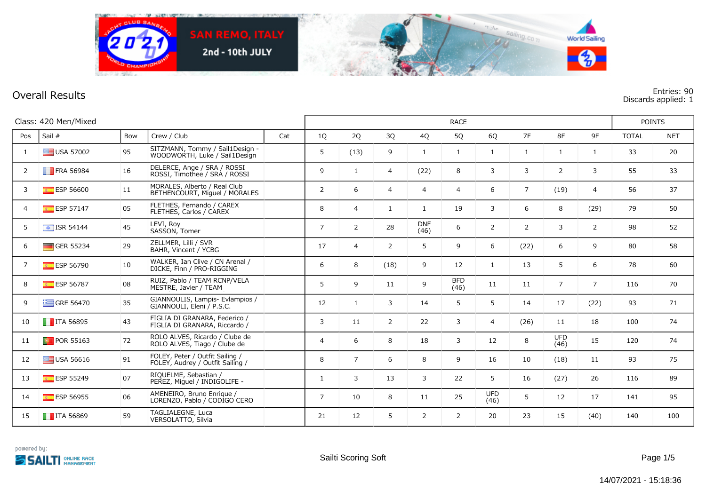

## **Overall Results Entries: 90 Discards applied: 1**

|                | Class: 420 Men/Mixed     |     |                                                                     |     |                |                |                |                    | <b>RACE</b>        |                    |                |                    |                | <b>POINTS</b> |            |
|----------------|--------------------------|-----|---------------------------------------------------------------------|-----|----------------|----------------|----------------|--------------------|--------------------|--------------------|----------------|--------------------|----------------|---------------|------------|
| Pos            | Sail #                   | Bow | Crew / Club                                                         | Cat | 1Q             | 2Q             | 3Q             | 4Q                 | 5Q                 | 6Q                 | 7F             | 8F                 | 9F             | <b>TOTAL</b>  | <b>NET</b> |
| 1              | $\equiv$ USA 57002       | 95  | SITZMANN, Tommy / Sail1Design -<br>WOODWORTH, Luke / Sail1Design    |     | 5              | (13)           | 9              | $\mathbf{1}$       | $\mathbf{1}$       | $\mathbf{1}$       | 1              | $\mathbf{1}$       | $\mathbf{1}$   | 33            | 20         |
| 2              | <b>FRA 56984</b>         | 16  | DELERCE, Ange / SRA / ROSSI<br>ROSSI, Timothee / SRA / ROSSI        |     | 9              | 1              | 4              | (22)               | 8                  | 3                  | 3              | $\overline{2}$     | 3              | 55            | 33         |
| 3              | <b>ESP 56600</b>         | 11  | MORALES, Alberto / Real Club<br>BETHENCOURT, Miquel / MORALES       |     | $\overline{2}$ | 6              | $\overline{4}$ | $\overline{4}$     | $\overline{4}$     | 6                  | $\overline{7}$ | (19)               | $\overline{4}$ | 56            | 37         |
| $\overline{4}$ | $E = ESP 57147$          | 05  | FLETHES, Fernando / CAREX<br>FLETHES, Carlos / CAREX                |     | 8              | $\overline{4}$ | $\mathbf{1}$   | $\mathbf{1}$       | 19                 | 3                  | 6              | 8                  | (29)           | 79            | 50         |
| 5              | $\boxed{\div}$ ISR 54144 | 45  | LEVI, Roy<br>SASSON, Tomer                                          |     | $\overline{7}$ | $\overline{2}$ | 28             | <b>DNF</b><br>(46) | 6                  | $\overline{2}$     | $\overline{2}$ | 3                  | $\overline{2}$ | 98            | 52         |
| 6              | GER 55234                | 29  | ZELLMER, Lilli / SVR<br>BAHR, Vincent / YCBG                        |     | 17             | $\overline{4}$ | 2              | 5                  | 9                  | 6                  | (22)           | 6                  | 9              | 80            | 58         |
| 7              | <b>ESP 56790</b>         | 10  | WALKER, Ian Clive / CN Arenal /<br>DICKE, Finn / PRO-RIGGING        |     | 6              | 8              | (18)           | 9                  | 12                 | $\mathbf{1}$       | 13             | 5                  | 6              | 78            | 60         |
| 8              | ESP 56787                | 08  | RUIZ, Pablo / TEAM RCNP/VELA<br>MESTRE, Javier / TEAM               |     | 5              | 9              | 11             | 9                  | <b>BFD</b><br>(46) | 11                 | 11             | $\overline{7}$     | $\overline{7}$ | 116           | 70         |
| 9              | $\equiv$ GRE 56470       | 35  | GIANNOULIS, Lampis- Evlampios /<br>GIANNOULI, Eleni / P.S.C.        |     | 12             | $\mathbf{1}$   | 3              | 14                 | 5                  | 5                  | 14             | 17                 | (22)           | 93            | 71         |
| 10             | $\blacksquare$ ITA 56895 | 43  | FIGLIA DI GRANARA, Federico /<br>FIGLIA DI GRANARA, Riccardo /      |     | 3              | 11             | 2              | 22                 | 3                  | $\overline{4}$     | (26)           | 11                 | 18             | 100           | 74         |
| 11             | <b>D</b> POR 55163       | 72  | ROLO ALVES, Ricardo / Clube de<br>ROLO ALVES, Tiago / Clube de      |     | 4              | 6              | 8              | 18                 | 3                  | 12                 | 8              | <b>UFD</b><br>(46) | 15             | 120           | 74         |
| 12             | $\equiv$ USA 56616       | 91  | FOLEY, Peter / Outfit Sailing /<br>FOLEY, Audrey / Outfit Sailing / |     | 8              | $\overline{7}$ | 6              | 8                  | 9                  | 16                 | 10             | (18)               | 11             | 93            | 75         |
| 13             | $E =$ ESP 55249          | 07  | RIQUELME, Sebastian /<br>PEREZ, Miguel / INDIGOLIFE -               |     | $\mathbf{1}$   | 3              | 13             | 3                  | 22                 | 5                  | 16             | (27)               | 26             | 116           | 89         |
| 14             | $E =$ ESP 56955          | 06  | AMENEIRO, Bruno Enrique /<br>LORENZO, Pablo / CODIGO CERO           |     | $\overline{7}$ | 10             | 8              | 11                 | 25                 | <b>UFD</b><br>(46) | 5              | 12                 | 17             | 141           | 95         |
| 15             | $\blacksquare$ ITA 56869 | 59  | TAGLIALEGNE, Luca<br>VERSOLATTO, Silvia                             |     | 21             | 12             | 5              | 2                  | $\overline{2}$     | 20                 | 23             | 15                 | (40)           | 140           | 100        |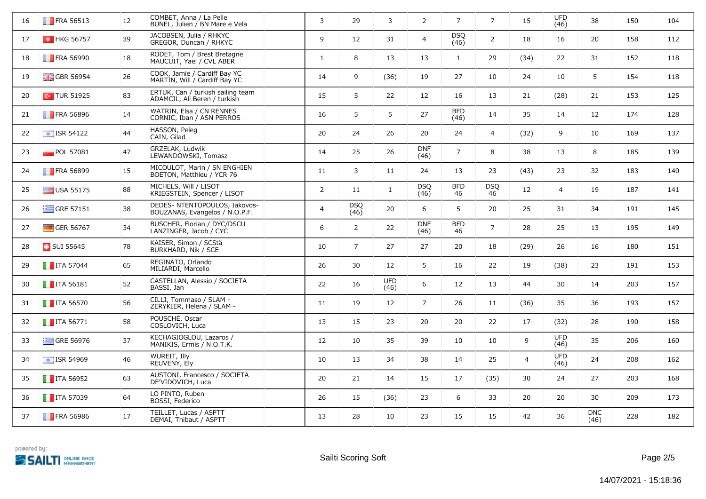| 16 | <b>FRA 56513</b>               | 12 | COMBET, Anna / La Pelle<br>BUNEL, Julien / BN Mare e Vela         | 3              | 29                 | 3            | $\overline{2}$     | $\overline{7}$     | $\overline{7}$   | 15             | <b>UFD</b><br>(46) | 38                 | 150 | 104 |
|----|--------------------------------|----|-------------------------------------------------------------------|----------------|--------------------|--------------|--------------------|--------------------|------------------|----------------|--------------------|--------------------|-----|-----|
| 17 | $\frac{1}{2}$ HKG 56757        | 39 | JACOBSEN, Julia / RHKYC<br>GREGOR, Duncan / RHKYC                 | 9              | 12                 | 31           | 4                  | <b>DSQ</b><br>(46) | $\overline{2}$   | 18             | 16                 | 20                 | 158 | 112 |
| 18 | <b>FRA 56990</b>               | 18 | RODET, Tom / Brest Bretagne<br>MAUCUIT, Yael / CVL ABER           | $\mathbf{1}$   | 8                  | 13           | 13                 | $\mathbf{1}$       | 29               | (34)           | 22                 | 31                 | 152 | 118 |
| 19 | <b>H</b> GBR 56954             | 26 | COOK, Jamie / Cardiff Bay YC<br>MARTIN, Will / Cardiff Bay YC     | 14             | 9                  | (36)         | 19                 | 27                 | 10               | 24             | 10                 | 5                  | 154 | 118 |
| 20 | $\bullet$ TUR 51925            | 83 | ERTÜK, Can / turkish sailing team<br>ADAMCIL, Ali Beren / turkish | 15             | 5                  | 22           | 12                 | 16                 | 13               | 21             | (28)               | 21                 | 153 | 125 |
| 21 | <b>FRA 56896</b>               | 14 | WATRIN, Elsa / CN RENNES<br>CORNIC, Iban / ASN PERROS             | 16             | 5                  | 5            | 27                 | <b>BFD</b><br>(46) | 14               | 35             | 14                 | 12                 | 174 | 128 |
| 22 | $\overline{\bullet}$ ISR 54122 | 44 | HASSON, Peleg<br>CAIN, Gilad                                      | 20             | 24                 | 26           | 20                 | 24                 | $\overline{4}$   | (32)           | 9                  | 10                 | 169 | 137 |
| 23 | $\blacksquare$ POL 57081       | 47 | GRZELAK, Ludwik<br>LEWANDOWSKI, Tomasz                            | 14             | 25                 | 26           | <b>DNF</b><br>(46) | $\overline{7}$     | 8                | 38             | 13                 | 8                  | 185 | 139 |
| 24 | <b>FRA 56899</b>               | 15 | MICOULOT, Marin / SN ENGHIEN<br>BOETON, Matthieu / YCR 76         | 11             | 3                  | 11           | 24                 | 13                 | 23               | (43)           | 23                 | 32                 | 183 | 140 |
| 25 | USA 55175                      | 88 | MICHELS, Will / LISOT<br>KRIEGSTEIN, Spencer / LISOT              | $\overline{2}$ | 11                 | $\mathbf{1}$ | <b>DSQ</b><br>(46) | <b>BFD</b><br>46   | <b>DSQ</b><br>46 | 12             | $\overline{4}$     | 19                 | 187 | 141 |
| 26 | $\equiv$ GRE 57151             | 38 | DEDES- NTENTOPOULOS, Iakovos-<br>BOUZANAS, Evangelos / N.O.P.F.   | $\overline{4}$ | <b>DSQ</b><br>(46) | 20           | 6                  | 5                  | 20               | 25             | 31                 | 34                 | 191 | 145 |
| 27 | GER 56767                      | 34 | BÜSCHER, Florian / DYC/DSCU<br>LANZINGER, Jacob / CYC             | 6              | $\overline{2}$     | 22           | <b>DNF</b><br>(46) | <b>BFD</b><br>46   | $\overline{7}$   | 28             | 25                 | 13                 | 195 | 149 |
| 28 | <b>B</b> SUI 55645             | 78 | KAISER, Simon / SCStä<br>BURKHARD, Nik / SCE                      | 10             | $\overline{7}$     | 27           | 27                 | 20                 | 18               | (29)           | 26                 | 16                 | 180 | 151 |
| 29 | $\blacksquare$ ITA 57044       | 65 | REGINATO, Orlando<br>MILIARDI, Marcello                           | 26             | 30                 | 12           | 5                  | 16                 | 22               | 19             | (38)               | 23                 | 191 | 153 |
| 30 | $\blacksquare$ ITA 56181       | 52 | CASTELLAN, Alessio / SOCIETA<br>BASSI, Jan                        | 22             | 16                 | UFD<br>(46)  | 6                  | 12                 | 13               | 44             | 30                 | 14                 | 203 | 157 |
| 31 | $\blacksquare$ ITA 56570       | 56 | CILLI, Tommaso / SLAM -<br>ZERYKIER, Helena / SLAM -              | 11             | 19                 | 12           | $\overline{7}$     | 26                 | 11               | (36)           | 35                 | 36                 | 193 | 157 |
| 32 | $\blacksquare$ ITA 56771       | 58 | POUSCHE, Oscar<br>COSLOVICH, Luca                                 | 13             | 15                 | 23           | 20                 | 20                 | 22               | 17             | (32)               | 28                 | 190 | 158 |
| 33 | $\equiv$ GRE 56976             | 37 | KECHAGIOGLOU, Lazaros /<br>MANIKIS, Ermis / N.O.T.K.              | 12             | 10                 | 35           | 39                 | 10                 | 10               | 9              | <b>UFD</b><br>(46) | 35                 | 206 | 160 |
| 34 | $\frac{1}{2}$ ISR 54969        | 46 | WUREIT, Illy<br>REUVENY, Ely                                      | 10             | 13                 | 34           | 38                 | 14                 | 25               | $\overline{4}$ | <b>UFD</b><br>(46) | 24                 | 208 | 162 |
| 35 | $\blacksquare$ ITA 56952       | 63 | AUSTONI, Francesco / SOCIETA<br>DE'VIDOVICH, Luca                 | 20             | 21                 | 14           | 15                 | 17                 | (35)             | 30             | 24                 | 27                 | 203 | 168 |
| 36 | $\blacksquare$ ITA 57039       | 64 | LO PINTO, Ruben<br>BOSSI, Federico                                | 26             | 15                 | (36)         | 23                 | 6                  | 33               | 20             | 20                 | 30                 | 209 | 173 |
| 37 | <b>FRA 56986</b>               | 17 | TEILLET, Lucas / ASPTT<br>DEMAI, Thibaut / ASPTT                  | 13             | 28                 | 10           | 23                 | 15                 | 15               | 42             | 36                 | <b>DNC</b><br>(46) | 228 | 182 |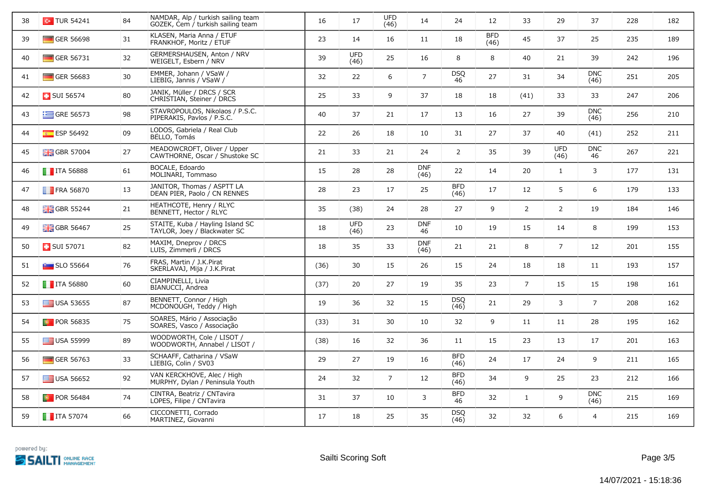| 38 | $\sim$ TUR 54241         | 84 | NAMDAR, Alp / turkish sailing team<br>GOZEK, Cem / turkish sailing team | 16   | 17                 | <b>UFD</b><br>(46) | 14                 | 24                 | 12                 | 33             | 29                 | 37                 | 228 | 182 |
|----|--------------------------|----|-------------------------------------------------------------------------|------|--------------------|--------------------|--------------------|--------------------|--------------------|----------------|--------------------|--------------------|-----|-----|
| 39 | GER 56698                | 31 | KLASEN, Maria Anna / ETUF<br>FRANKHOF, Moritz / ETUF                    | 23   | 14                 | 16                 | 11                 | 18                 | <b>BFD</b><br>(46) | 45             | 37                 | 25                 | 235 | 189 |
| 40 | GER 56731                | 32 | GERMERSHAUSEN, Anton / NRV<br>WEIGELT, Esbern / NRV                     | 39   | <b>UFD</b><br>(46) | 25                 | 16                 | 8                  | 8                  | 40             | 21                 | 39                 | 242 | 196 |
| 41 | $\blacksquare$ GER 56683 | 30 | EMMER, Johann / VSaW /<br>LIEBIG, Jannis / VSaW /                       | 32   | 22                 | 6                  | $\overline{7}$     | <b>DSQ</b><br>46   | 27                 | 31             | 34                 | <b>DNC</b><br>(46) | 251 | 205 |
| 42 | <b>B</b> SUI 56574       | 80 | JANIK, Müller / DRCS / SCR<br>CHRISTIAN, Steiner / DRCS                 | 25   | 33                 | 9                  | 37                 | 18                 | 18                 | (41)           | 33                 | 33                 | 247 | 206 |
| 43 | $\equiv$ GRE 56573       | 98 | STAVROPOULOS, Nikolaos / P.S.C.<br>PIPERAKIS, Pavlos / P.S.C.           | 40   | 37                 | 21                 | 17                 | 13                 | 16                 | 27             | 39                 | <b>DNC</b><br>(46) | 256 | 210 |
| 44 | ESP 56492                | 09 | LODOS, Gabriela / Real Club<br>BELLO, Tomás                             | 22   | 26                 | 18                 | 10                 | 31                 | 27                 | 37             | 40                 | (41)               | 252 | 211 |
| 45 | <b>H</b> GBR 57004       | 27 | MEADOWCROFT, Oliver / Upper<br>CAWTHORNE, Oscar / Shustoke SC           | 21   | 33                 | 21                 | 24                 | $\overline{2}$     | 35                 | 39             | <b>UFD</b><br>(46) | <b>DNC</b><br>46   | 267 | 221 |
| 46 | $\blacksquare$ ITA 56888 | 61 | BOCALE, Edoardo<br>MOLINARI, Tommaso                                    | 15   | 28                 | 28                 | <b>DNF</b><br>(46) | 22                 | 14                 | 20             | $\mathbf{1}$       | 3                  | 177 | 131 |
| 47 | <b>FRA 56870</b>         | 13 | JANITOR, Thomas / ASPTT LA<br>DEAN PIER, Paolo / CN RENNES              | 28   | 23                 | 17                 | 25                 | <b>BFD</b><br>(46) | 17                 | 12             | 5                  | 6                  | 179 | 133 |
| 48 | <b>H</b> GBR 55244       | 21 | HEATHCOTE, Henry / RLYC<br>BENNETT, Hector / RLYC                       | 35   | (38)               | 24                 | 28                 | 27                 | 9                  | $\overline{2}$ | $\overline{2}$     | 19                 | 184 | 146 |
| 49 | <b>H</b> GBR 56467       | 25 | STAITE, Kuba / Hayling Island SC<br>TAYLOR, Joey / Blackwater SC        | 18   | <b>UFD</b><br>(46) | 23                 | <b>DNF</b><br>46   | 10                 | 19                 | 15             | 14                 | 8                  | 199 | 153 |
| 50 | <b>B</b> SUI 57071       | 82 | MAXIM, Dneprov / DRCS<br>LUIS, Zimmerli / DRCS                          | 18   | 35                 | 33                 | <b>DNF</b><br>(46) | 21                 | 21                 | 8              | $\overline{7}$     | 12                 | 201 | 155 |
| 51 | $\blacksquare$ SLO 55664 | 76 | FRAS, Martin / J.K.Pirat<br>SKERLAVAJ, Mija / J.K.Pirat                 | (36) | 30                 | 15                 | 26                 | 15                 | 24                 | 18             | 18                 | 11                 | 193 | 157 |
| 52 | $\blacksquare$ ITA 56880 | 60 | CIAMPINELLI, Livia<br>BIANUCCI, Andrea                                  | (37) | 20                 | 27                 | 19                 | 35                 | 23                 | $\overline{7}$ | 15                 | 15                 | 198 | 161 |
| 53 | $\equiv$ USA 53655       | 87 | BENNETT, Connor / High<br>MCDONOUGH, Teddy / High                       | 19   | 36                 | 32                 | 15                 | <b>DSQ</b><br>(46) | 21                 | 29             | 3                  | $\overline{7}$     | 208 | 162 |
| 54 | <b>D</b> POR 56835       | 75 | SOARES, Mário / Associação<br>SOARES, Vasco / Associação                | (33) | 31                 | 30                 | 10                 | 32                 | 9                  | 11             | 11                 | 28                 | 195 | 162 |
| 55 | $\equiv$ USA 55999       | 89 | WOODWORTH, Cole / LISOT /<br>WOODWORTH, Annabel / LISOT /               | (38) | 16                 | 32                 | 36                 | 11                 | 15                 | 23             | 13                 | 17                 | 201 | 163 |
| 56 | GER 56763                | 33 | SCHAAFF, Catharina / VSaW<br>LIEBIG, Colin / SV03                       | 29   | 27                 | 19                 | 16                 | <b>BFD</b><br>(46) | 24                 | 17             | 24                 | 9                  | 211 | 165 |
| 57 | $\equiv$ USA 56652       | 92 | VAN KERCKHOVE, Alec / High<br>MURPHY, Dylan / Peninsula Youth           | 24   | 32                 | $\overline{7}$     | 12                 | <b>BFD</b><br>(46) | 34                 | 9              | 25                 | 23                 | 212 | 166 |
| 58 | <b>D</b> POR 56484       | 74 | CINTRA, Beatriz / CNTavira<br>LOPES, Filipe / CNTavira                  | 31   | 37                 | 10                 | 3                  | <b>BFD</b><br>46   | 32                 | $\mathbf{1}$   | 9                  | <b>DNC</b><br>(46) | 215 | 169 |
| 59 | $\blacksquare$ ITA 57074 | 66 | CICCONETTI, Corrado<br>MARTINEZ, Giovanni                               | 17   | 18                 | 25                 | 35                 | <b>DSQ</b><br>(46) | 32                 | 32             | 6                  | $\overline{4}$     | 215 | 169 |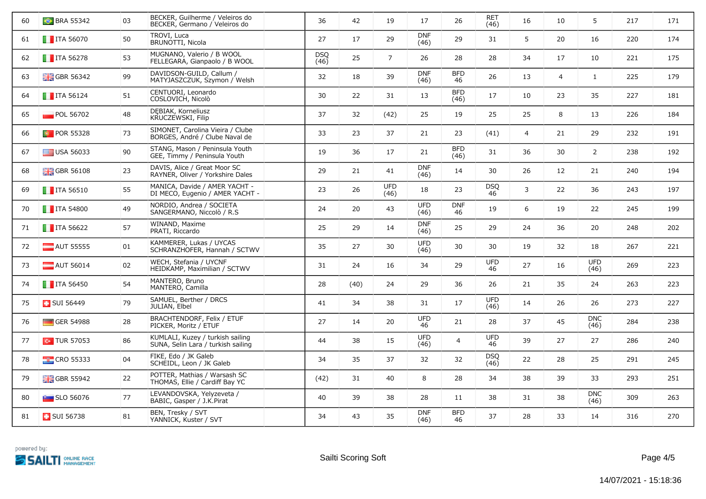| 60 | <b>BRA 55342</b>          | 03 | BECKER, Guilherme / Veleiros do<br>BECKER, Germano / Veleiros do       | 36          | 42   | 19                 | 17                 | 26                 | <b>RET</b><br>(46) | 16 | 10             | 5                  | 217 | 171 |
|----|---------------------------|----|------------------------------------------------------------------------|-------------|------|--------------------|--------------------|--------------------|--------------------|----|----------------|--------------------|-----|-----|
| 61 | $\blacksquare$ ITA 56070  | 50 | TROVI, Luca<br>BRUNOTTI, Nicola                                        | 27          | 17   | 29                 | <b>DNF</b><br>(46) | 29                 | 31                 | 5  | 20             | 16                 | 220 | 174 |
| 62 | $\blacksquare$ ITA 56278  | 53 | MUGNANO, Valerio / B WOOL<br>FELLEGARA, Gianpaolo / B WOOL             | DSQ<br>(46) | 25   | $\overline{7}$     | 26                 | 28                 | 28                 | 34 | 17             | 10                 | 221 | 175 |
| 63 | $\frac{1}{200}$ GBR 56342 | 99 | DAVIDSON-GUILD, Callum /<br>MATYJASZCZUK, Szymon / Welsh               | 32          | 18   | 39                 | <b>DNF</b><br>(46) | <b>BFD</b><br>46   | 26                 | 13 | $\overline{4}$ | $\mathbf{1}$       | 225 | 179 |
| 64 | $\blacksquare$ ITA 56124  | 51 | CENTUORI, Leonardo<br>COSLOVICH, Nicolò                                | 30          | 22   | 31                 | 13                 | <b>BFD</b><br>(46) | 17                 | 10 | 23             | 35                 | 227 | 181 |
| 65 | POL 56702                 | 48 | DEBIAK, Korneliusz<br>KRUCZEWSKI, Filip                                | 37          | 32   | (42)               | 25                 | 19                 | 25                 | 25 | 8              | 13                 | 226 | 184 |
| 66 | <b>D</b> POR 55328        | 73 | SIMONET, Carolina Vieira / Clube<br>BORGES, André / Clube Naval de     | 33          | 23   | 37                 | 21                 | 23                 | (41)               | 4  | 21             | 29                 | 232 | 191 |
| 67 | $\Box$ USA 56033          | 90 | STANG, Mason / Peninsula Youth<br>GEE, Timmy / Peninsula Youth         | 19          | 36   | 17                 | 21                 | <b>BFD</b><br>(46) | 31                 | 36 | 30             | $\overline{2}$     | 238 | 192 |
| 68 | <b>H</b> GBR 56108        | 23 | DAVIS, Alice / Great Moor SC<br>RAYNER, Oliver / Yorkshire Dales       | 29          | 21   | 41                 | <b>DNF</b><br>(46) | 14                 | 30                 | 26 | 12             | 21                 | 240 | 194 |
| 69 | $\blacksquare$ ITA 56510  | 55 | MANICA, Davide / AMER YACHT -<br>DI MECO, Eugenio / AMER YACHT -       | 23          | 26   | <b>UFD</b><br>(46) | 18                 | 23                 | <b>DSO</b><br>46   | 3  | 22             | 36                 | 243 | 197 |
| 70 | $\blacksquare$ ITA 54800  | 49 | NORDIO, Andrea / SOCIETA<br>SANGERMANO, Niccolò / R.S.                 | 24          | 20   | 43                 | <b>UFD</b><br>(46) | <b>DNF</b><br>46   | 19                 | 6  | 19             | 22                 | 245 | 199 |
| 71 | $\blacksquare$ ITA 56622  | 57 | WINAND, Maxime<br>PRATI, Riccardo                                      | 25          | 29   | 14                 | <b>DNF</b><br>(46) | 25                 | 29                 | 24 | 36             | 20                 | 248 | 202 |
| 72 | $\blacksquare$ AUT 55555  | 01 | KAMMERER, Lukas / UYCAS<br>SCHRANZHOFER, Hannah / SCTWV                | 35          | 27   | 30                 | <b>UFD</b><br>(46) | 30                 | 30                 | 19 | 32             | 18                 | 267 | 221 |
| 73 | AUT 56014                 | 02 | WECH, Stefania / UYCNF<br>HEIDKAMP, Maximilian / SCTWV                 | 31          | 24   | 16                 | 34                 | 29                 | <b>UFD</b><br>46   | 27 | 16             | <b>UFD</b><br>(46) | 269 | 223 |
| 74 | $\blacksquare$ ITA 56450  | 54 | MANTERO, Bruno<br>MANTERO, Camilla                                     | 28          | (40) | 24                 | 29                 | 36                 | 26                 | 21 | 35             | 24                 | 263 | 223 |
| 75 | <b>E</b> SUI 56449        | 79 | SAMUEL, Berther / DRCS<br>JULIAN, Elbel                                | 41          | 34   | 38                 | 31                 | 17                 | <b>UFD</b><br>(46) | 14 | 26             | 26                 | 273 | 227 |
| 76 | GER 54988                 | 28 | BRACHTENDORF, Felix / ETUF<br>PICKER, Moritz / ETUF                    | 27          | 14   | 20                 | <b>UFD</b><br>46   | 21                 | 28                 | 37 | 45             | <b>DNC</b><br>(46) | 284 | 238 |
| 77 | $\sim$ TUR 57053          | 86 | KUMLALI, Kuzey / turkish sailing<br>SUNA, Selin Lara / turkish sailing | 44          | 38   | 15                 | UFD<br>(46)        | $\overline{4}$     | <b>UFD</b><br>46   | 39 | 27             | 27                 | 286 | 240 |
| 78 | <b>EXECUTE CRO</b> 55333  | 04 | FIKE, Edo / JK Galeb<br>SCHEIDL, Leon / JK Galeb                       | 34          | 35   | 37                 | 32                 | 32                 | <b>DSQ</b><br>(46) | 22 | 28             | 25                 | 291 | 245 |
| 79 | <b>H</b> GBR 55942        | 22 | POTTER, Mathias / Warsash SC<br>THOMAS, Ellie / Cardiff Bay YC         | (42)        | 31   | 40                 | 8                  | 28                 | 34                 | 38 | 39             | 33                 | 293 | 251 |
| 80 | $\blacksquare$ SLO 56076  | 77 | LEVANDOVSKA, Yelyzeveta /<br>BABIC, Gasper / J.K.Pirat                 | 40          | 39   | 38                 | 28                 | 11                 | 38                 | 31 | 38             | <b>DNC</b><br>(46) | 309 | 263 |
| 81 | <b>B</b> SUI 56738        | 81 | BEN, Tresky / SVT<br>YANNICK, Kuster / SVT                             | 34          | 43   | 35                 | <b>DNF</b><br>(46) | <b>BFD</b><br>46   | 37                 | 28 | 33             | 14                 | 316 | 270 |